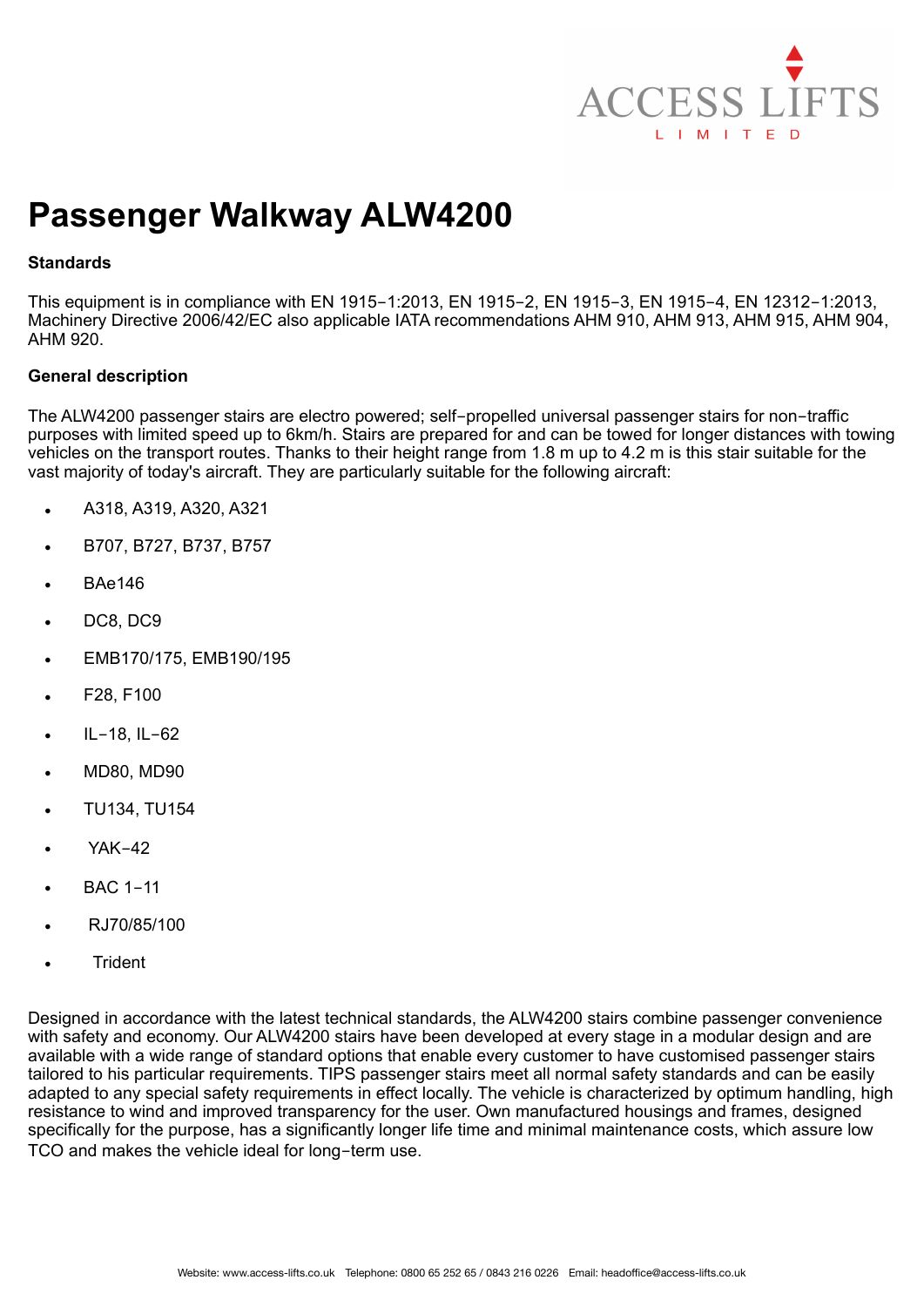

# **Passenger Walkway ALW4200**

## **Standards**

This equipment is in compliance with EN 1915-1:2013, EN 1915-2, EN 1915-3, EN 1915-4, EN 12312-1:2013, Machinery Directive 2006/42/EC also applicable IATA recommendations AHM 910, AHM 913, AHM 915, AHM 904, AHM 920.

## **General description**

The ALW4200 passenger stairs are electro powered; self-propelled universal passenger stairs for non-traffic purposes with limited speed up to 6km/h. Stairs are prepared for and can be towed for longer distances with towing vehicles on the transport routes. Thanks to their height range from 1.8 m up to 4.2 m is this stair suitable for the vast majority of today's aircraft. They are particularly suitable for the following aircraft:

- A318, A319, A320, A321
- B707, B727, B737, B757
- BAe146
- DC8, DC9
- EMB170/175, EMB190/195
- F28, F100
- IL-18, IL-62
- MD80, MD90
- TU134, TU154
- YAK-42
- BAC 1-11
- RJ70/85/100
- **Trident**

Designed in accordance with the latest technical standards, the ALW4200 stairs combine passenger convenience with safety and economy. Our ALW4200 stairs have been developed at every stage in a modular design and are available with a wide range of standard options that enable every customer to have customised passenger stairs tailored to his particular requirements. TIPS passenger stairs meet all normal safety standards and can be easily adapted to any special safety requirements in effect locally. The vehicle is characterized by optimum handling, high resistance to wind and improved transparency for the user. Own manufactured housings and frames, designed specifically for the purpose, has a significantly longer life time and minimal maintenance costs, which assure low TCO and makes the vehicle ideal for long-term use.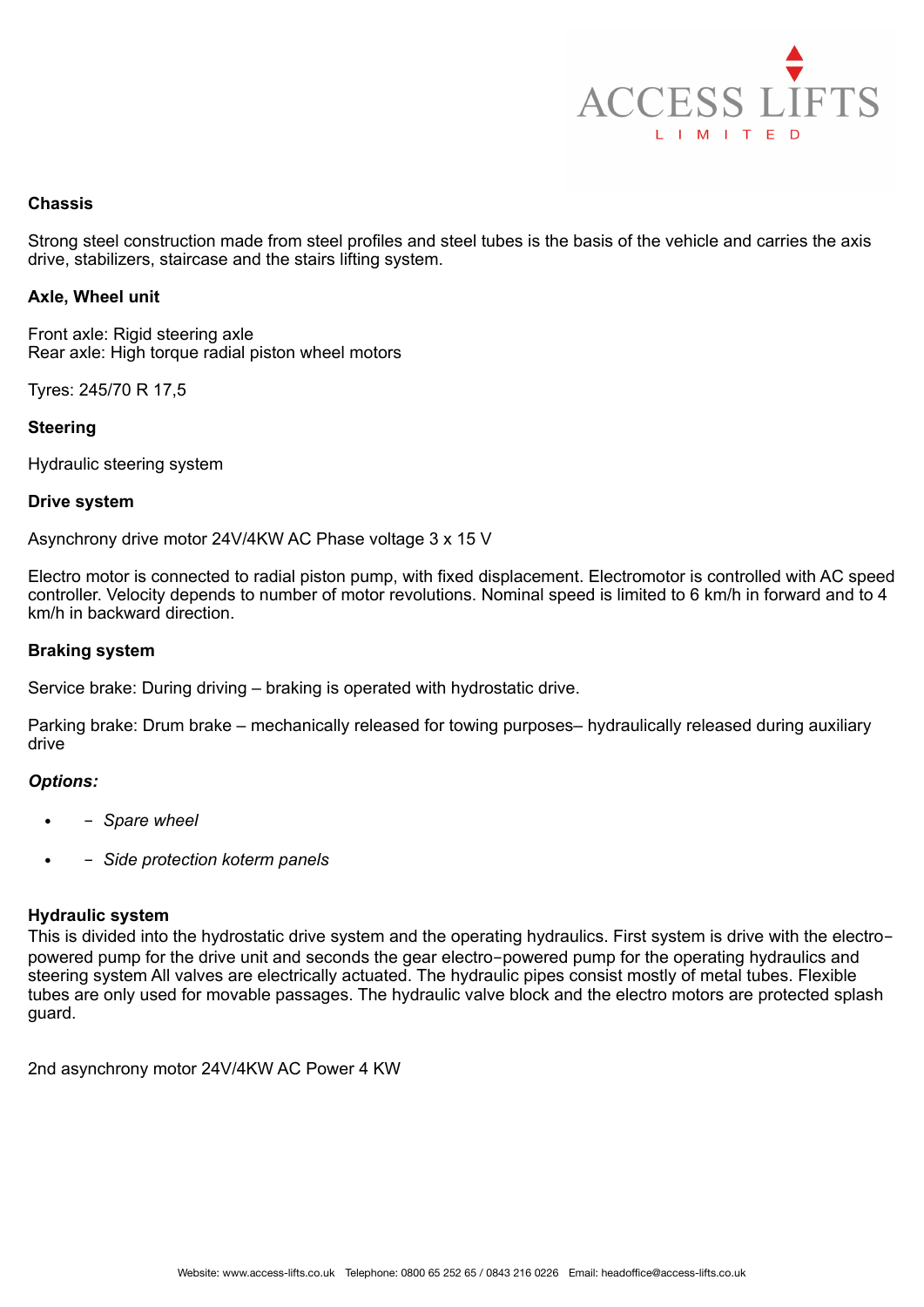

#### **Chassis**

Strong steel construction made from steel profiles and steel tubes is the basis of the vehicle and carries the axis drive, stabilizers, staircase and the stairs lifting system.

#### **Axle, Wheel unit**

Front axle: Rigid steering axle Rear axle: High torque radial piston wheel motors

Tyres: 245/70 R 17,5

#### **Steering**

Hydraulic steering system

#### **Drive system**

Asynchrony drive motor 24V/4KW AC Phase voltage 3 x 15 V

Electro motor is connected to radial piston pump, with fixed displacement. Electromotor is controlled with AC speed controller. Velocity depends to number of motor revolutions. Nominal speed is limited to 6 km/h in forward and to 4 km/h in backward direction.

#### **Braking system**

Service brake: During driving – braking is operated with hydrostatic drive.

Parking brake: Drum brake – mechanically released for towing purposes– hydraulically released during auxiliary drive

# *Options:*

- - *Spare wheel*
- - *Side protection koterm panels*

## **Hydraulic system**

This is divided into the hydrostatic drive system and the operating hydraulics. First system is drive with the electropowered pump for the drive unit and seconds the gear electro-powered pump for the operating hydraulics and steering system All valves are electrically actuated. The hydraulic pipes consist mostly of metal tubes. Flexible tubes are only used for movable passages. The hydraulic valve block and the electro motors are protected splash guard.

2nd asynchrony motor 24V/4KW AC Power 4 KW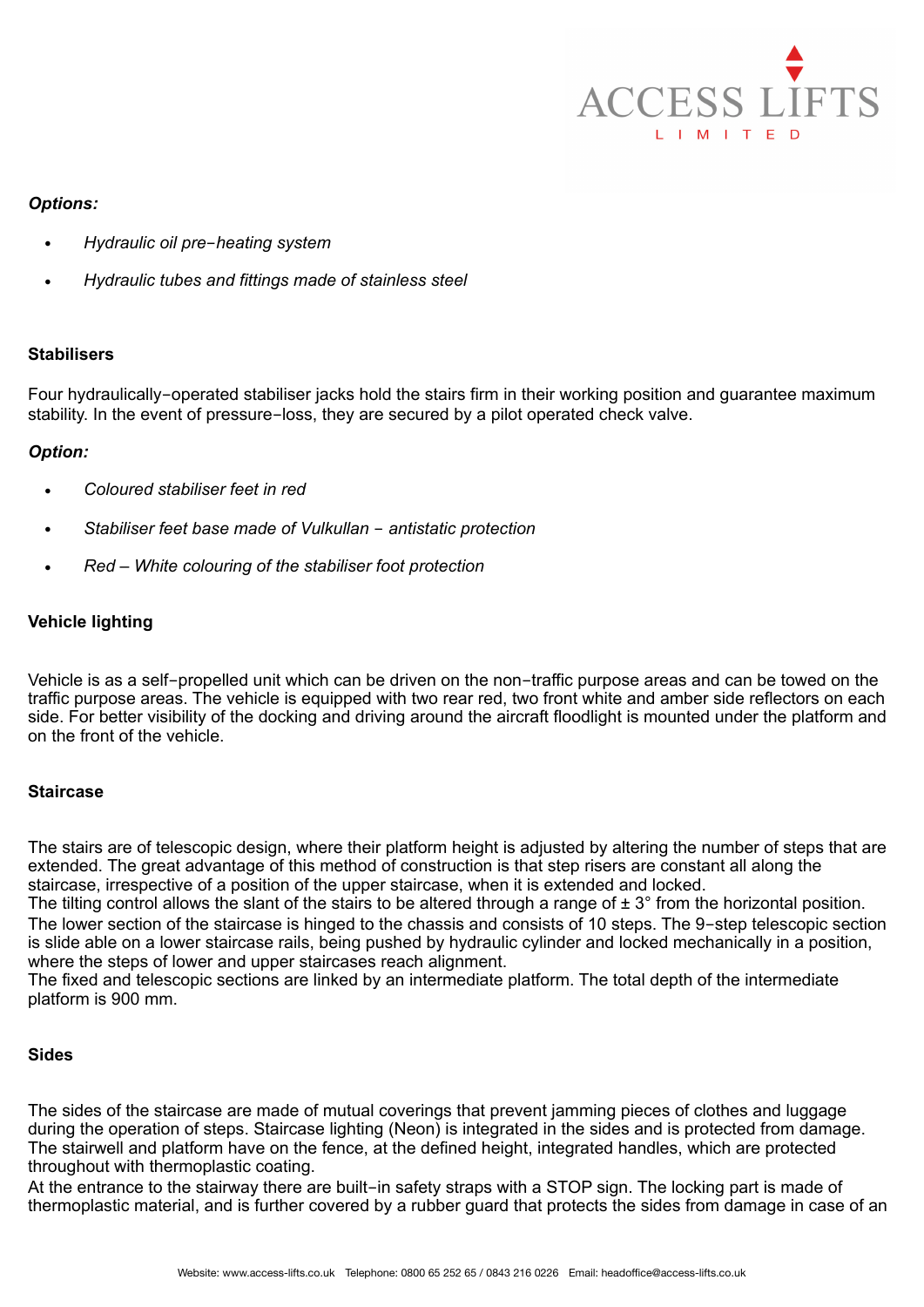

## *Options:*

- *Hydraulic oil pre*-*heating system*
- *Hydraulic tubes and fittings made of stainless steel*

# **Stabilisers**

Four hydraulically-operated stabiliser jacks hold the stairs firm in their working position and guarantee maximum stability. In the event of pressure-loss, they are secured by a pilot operated check valve.

# *Option:*

- *Coloured stabiliser feet in red*
- *Stabiliser feet base made of Vulkullan* - *antistatic protection*
- *Red White colouring of the stabiliser foot protection*

# **Vehicle lighting**

Vehicle is as a self-propelled unit which can be driven on the non-traffic purpose areas and can be towed on the traffic purpose areas. The vehicle is equipped with two rear red, two front white and amber side reflectors on each side. For better visibility of the docking and driving around the aircraft floodlight is mounted under the platform and on the front of the vehicle.

#### **Staircase**

The stairs are of telescopic design, where their platform height is adjusted by altering the number of steps that are extended. The great advantage of this method of construction is that step risers are constant all along the staircase, irrespective of a position of the upper staircase, when it is extended and locked.

The tilting control allows the slant of the stairs to be altered through a range of  $\pm 3^{\circ}$  from the horizontal position. The lower section of the staircase is hinged to the chassis and consists of 10 steps. The 9-step telescopic section is slide able on a lower staircase rails, being pushed by hydraulic cylinder and locked mechanically in a position, where the steps of lower and upper staircases reach alignment.

The fixed and telescopic sections are linked by an intermediate platform. The total depth of the intermediate platform is 900 mm.

# **Sides**

The sides of the staircase are made of mutual coverings that prevent jamming pieces of clothes and luggage during the operation of steps. Staircase lighting (Neon) is integrated in the sides and is protected from damage. The stairwell and platform have on the fence, at the defined height, integrated handles, which are protected throughout with thermoplastic coating.

At the entrance to the stairway there are built-in safety straps with a STOP sign. The locking part is made of thermoplastic material, and is further covered by a rubber guard that protects the sides from damage in case of an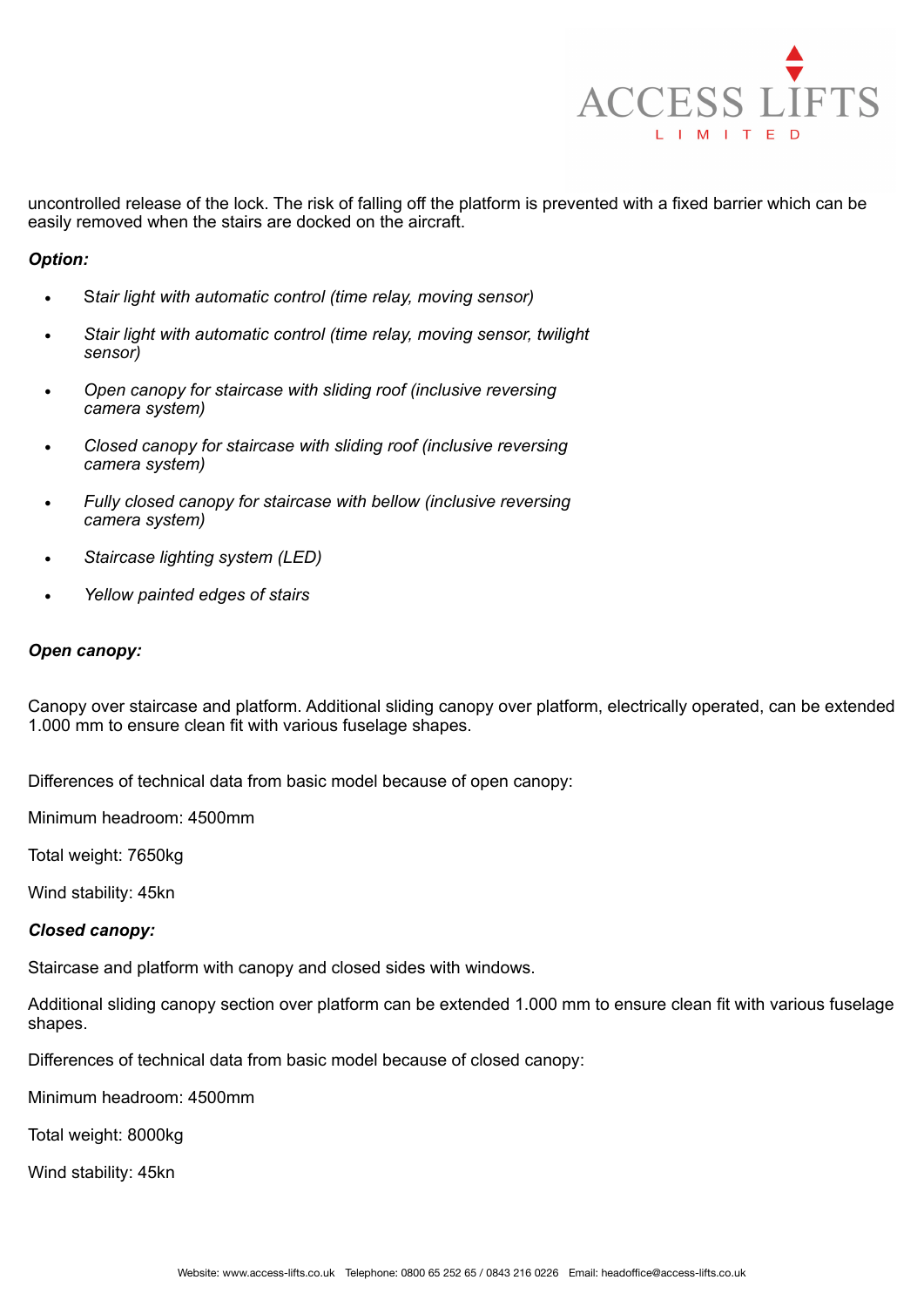

uncontrolled release of the lock. The risk of falling off the platform is prevented with a fixed barrier which can be easily removed when the stairs are docked on the aircraft.

## *Option:*

- S*tair light with automatic control (time relay, moving sensor)*
- *Stair light with automatic control (time relay, moving sensor, twilight sensor)*
- *Open canopy for staircase with sliding roof (inclusive reversing camera system)*
- *Closed canopy for staircase with sliding roof (inclusive reversing camera system)*
- *Fully closed canopy for staircase with bellow (inclusive reversing camera system)*
- *Staircase lighting system (LED)*
- *Yellow painted edges of stairs*

## *Open canopy:*

Canopy over staircase and platform. Additional sliding canopy over platform, electrically operated, can be extended 1.000 mm to ensure clean fit with various fuselage shapes.

Differences of technical data from basic model because of open canopy:

Minimum headroom: 4500mm

Total weight: 7650kg

Wind stability: 45kn

#### *Closed canopy:*

Staircase and platform with canopy and closed sides with windows.

Additional sliding canopy section over platform can be extended 1.000 mm to ensure clean fit with various fuselage shapes.

Differences of technical data from basic model because of closed canopy:

Minimum headroom: 4500mm

Total weight: 8000kg

Wind stability: 45kn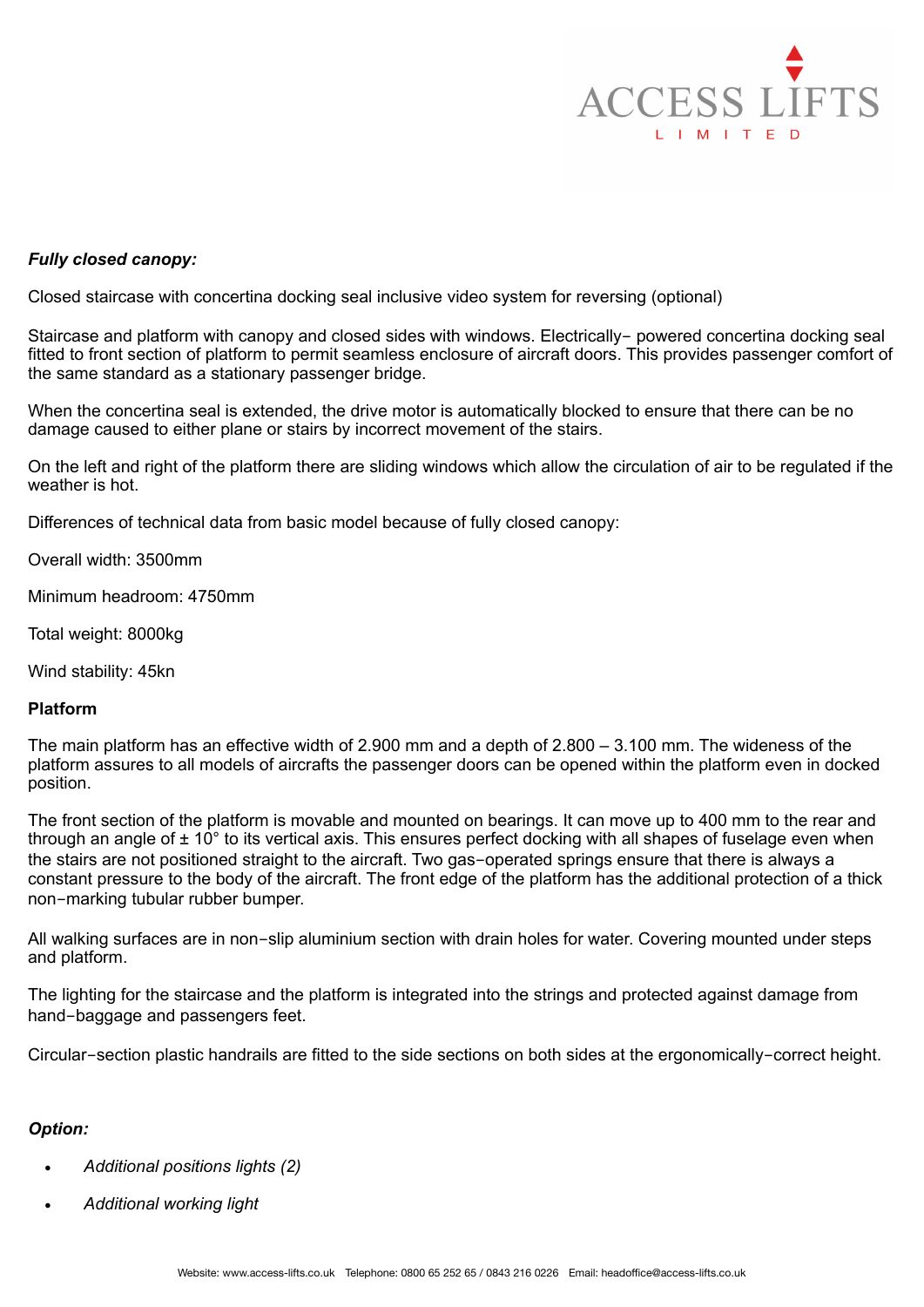

## *Fully closed canopy:*

Closed staircase with concertina docking seal inclusive video system for reversing (optional)

Staircase and platform with canopy and closed sides with windows. Electrically- powered concertina docking seal fitted to front section of platform to permit seamless enclosure of aircraft doors. This provides passenger comfort of the same standard as a stationary passenger bridge.

When the concertina seal is extended, the drive motor is automatically blocked to ensure that there can be no damage caused to either plane or stairs by incorrect movement of the stairs.

On the left and right of the platform there are sliding windows which allow the circulation of air to be regulated if the weather is hot.

Differences of technical data from basic model because of fully closed canopy:

Overall width: 3500mm

Minimum headroom: 4750mm

Total weight: 8000kg

Wind stability: 45kn

#### **Platform**

The main platform has an effective width of 2.900 mm and a depth of 2.800 – 3.100 mm. The wideness of the platform assures to all models of aircrafts the passenger doors can be opened within the platform even in docked position.

The front section of the platform is movable and mounted on bearings. It can move up to 400 mm to the rear and through an angle of  $\pm 10^{\circ}$  to its vertical axis. This ensures perfect docking with all shapes of fuselage even when the stairs are not positioned straight to the aircraft. Two gas-operated springs ensure that there is always a constant pressure to the body of the aircraft. The front edge of the platform has the additional protection of a thick non-marking tubular rubber bumper.

All walking surfaces are in non-slip aluminium section with drain holes for water. Covering mounted under steps and platform.

The lighting for the staircase and the platform is integrated into the strings and protected against damage from hand-baggage and passengers feet.

Circular-section plastic handrails are fitted to the side sections on both sides at the ergonomically-correct height.

## *Option:*

- *Additional positions lights (2)*
- *Additional working light*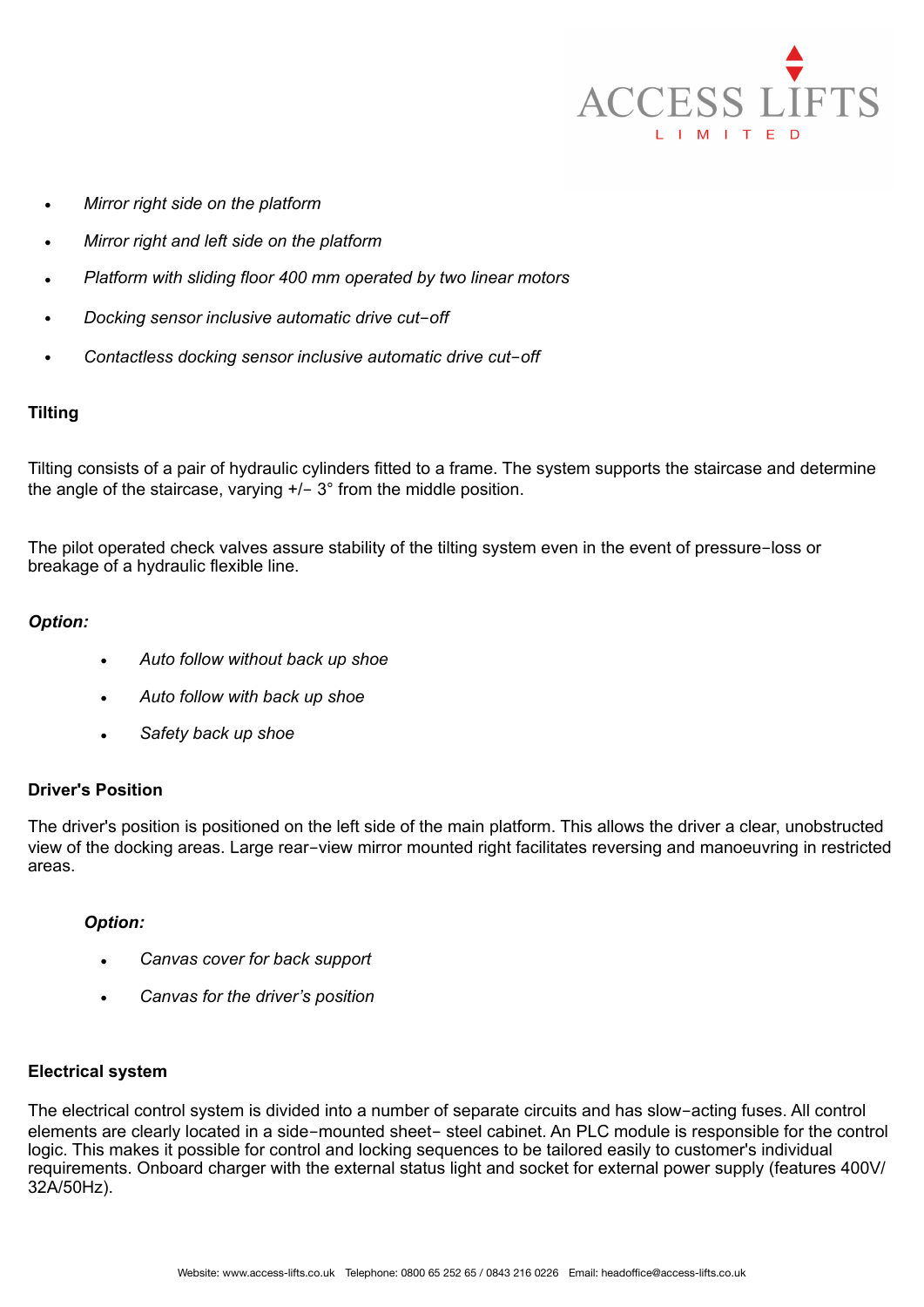

- *Mirror right side on the platform*
- *Mirror right and left side on the platform*
- *Platform with sliding floor 400 mm operated by two linear motors*
- *Docking sensor inclusive automatic drive cut*-*off*
- *Contactless docking sensor inclusive automatic drive cut*-*off*

# **Tilting**

Tilting consists of a pair of hydraulic cylinders fitted to a frame. The system supports the staircase and determine the angle of the staircase, varying  $+/- 3°$  from the middle position.

The pilot operated check valves assure stability of the tilting system even in the event of pressure-loss or breakage of a hydraulic flexible line.

# *Option:*

- *Auto follow without back up shoe*
- *Auto follow with back up shoe*
- *Safety back up shoe*

# **Driver's Position**

The driver's position is positioned on the left side of the main platform. This allows the driver a clear, unobstructed view of the docking areas. Large rear-view mirror mounted right facilitates reversing and manoeuvring in restricted areas.

# *Option:*

- *Canvas cover for back support*
- *Canvas for the driver's position*

# **Electrical system**

The electrical control system is divided into a number of separate circuits and has slow-acting fuses. All control elements are clearly located in a side-mounted sheet- steel cabinet. An PLC module is responsible for the control logic. This makes it possible for control and locking sequences to be tailored easily to customer's individual requirements. Onboard charger with the external status light and socket for external power supply (features 400V/ 32A/50Hz).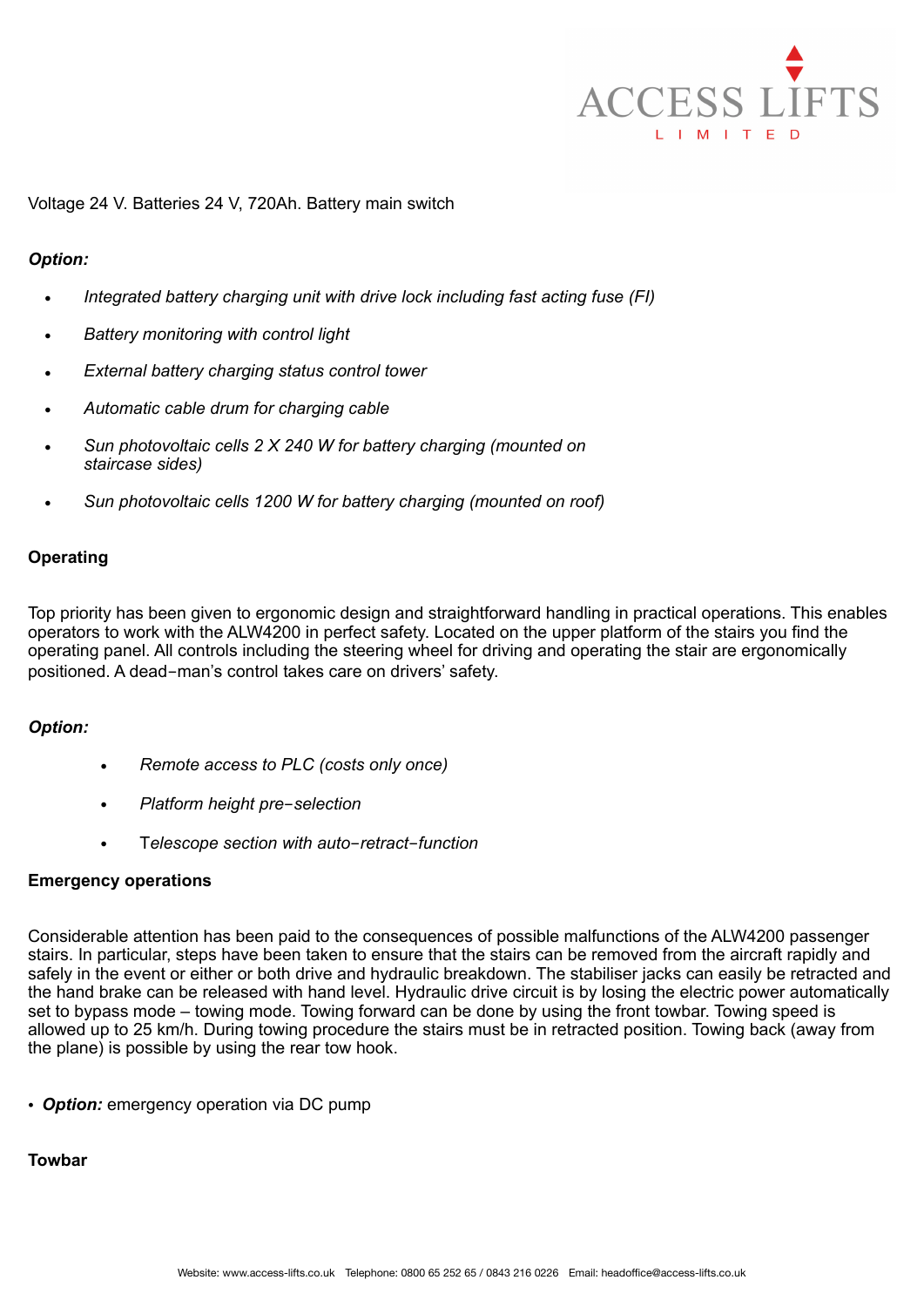

## Voltage 24 V. Batteries 24 V, 720Ah. Battery main switch

#### *Option:*

- *Integrated battery charging unit with drive lock including fast acting fuse (FI)*
- *Battery monitoring with control light*
- *External battery charging status control tower*
- *Automatic cable drum for charging cable*
- *Sun photovoltaic cells 2 X 240 W for battery charging (mounted on staircase sides)*
- *Sun photovoltaic cells 1200 W for battery charging (mounted on roof)*

#### **Operating**

Top priority has been given to ergonomic design and straightforward handling in practical operations. This enables operators to work with the ALW4200 in perfect safety. Located on the upper platform of the stairs you find the operating panel. All controls including the steering wheel for driving and operating the stair are ergonomically positioned. A dead-man's control takes care on drivers' safety.

#### *Option:*

- *Remote access to PLC (costs only once)*
- *Platform height pre*-*selection*
- T*elescope section with auto*-*retract*-*function*

#### **Emergency operations**

Considerable attention has been paid to the consequences of possible malfunctions of the ALW4200 passenger stairs. In particular, steps have been taken to ensure that the stairs can be removed from the aircraft rapidly and safely in the event or either or both drive and hydraulic breakdown. The stabiliser jacks can easily be retracted and the hand brake can be released with hand level. Hydraulic drive circuit is by losing the electric power automatically set to bypass mode – towing mode. Towing forward can be done by using the front towbar. Towing speed is allowed up to 25 km/h. During towing procedure the stairs must be in retracted position. Towing back (away from the plane) is possible by using the rear tow hook.

• *Option:* emergency operation via DC pump

#### **Towbar**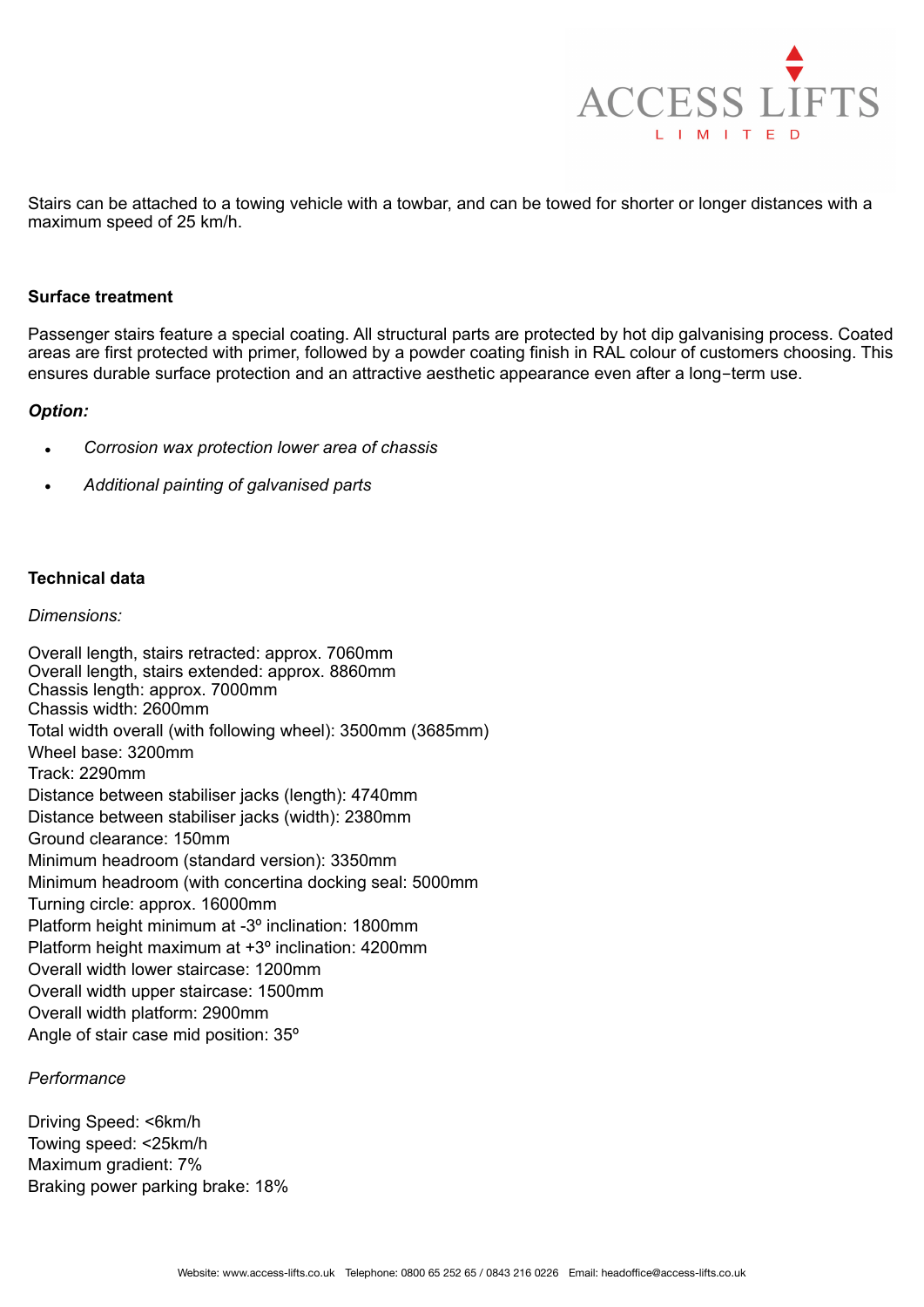

Stairs can be attached to a towing vehicle with a towbar, and can be towed for shorter or longer distances with a maximum speed of 25 km/h.

## **Surface treatment**

Passenger stairs feature a special coating. All structural parts are protected by hot dip galvanising process. Coated areas are first protected with primer, followed by a powder coating finish in RAL colour of customers choosing. This ensures durable surface protection and an attractive aesthetic appearance even after a long-term use.

#### *Option:*

- *Corrosion wax protection lower area of chassis*
- *Additional painting of galvanised parts*

## **Technical data**

#### *Dimensions:*

Overall length, stairs retracted: approx. 7060mm Overall length, stairs extended: approx. 8860mm Chassis length: approx. 7000mm Chassis width: 2600mm Total width overall (with following wheel): 3500mm (3685mm) Wheel base: 3200mm Track: 2290mm Distance between stabiliser jacks (length): 4740mm Distance between stabiliser jacks (width): 2380mm Ground clearance: 150mm Minimum headroom (standard version): 3350mm Minimum headroom (with concertina docking seal: 5000mm Turning circle: approx. 16000mm Platform height minimum at -3º inclination: 1800mm Platform height maximum at +3º inclination: 4200mm Overall width lower staircase: 1200mm Overall width upper staircase: 1500mm Overall width platform: 2900mm Angle of stair case mid position: 35º

#### *Performance*

Driving Speed: <6km/h Towing speed: <25km/h Maximum gradient: 7% Braking power parking brake: 18%